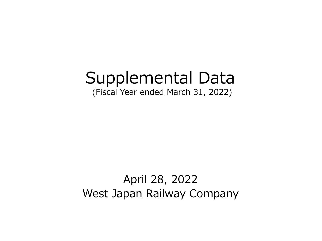# Supplemental Data

(Fiscal Year ended March 31, 2022)

# April 28, 2022 West Japan Railway Company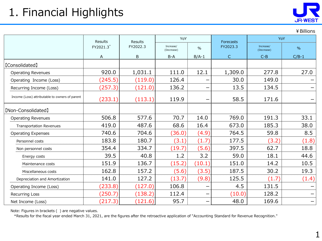

|                                                |           | <b>Results</b><br><b>Results</b> |                         |                        | Forecasts    | YoY                     |               |  |
|------------------------------------------------|-----------|----------------------------------|-------------------------|------------------------|--------------|-------------------------|---------------|--|
|                                                | FY2021.3* | FY2022.3                         | Increase/<br>(Decrease) | $\frac{0}{0}$          | FY2023.3     | Increase/<br>(Decrease) | $\frac{0}{0}$ |  |
|                                                | A         | B                                | $B-A$                   | $B/A-1$                | $\mathsf{C}$ | $C-B$                   | $C/B-1$       |  |
| [Consolidated]                                 |           |                                  |                         |                        |              |                         |               |  |
| <b>Operating Revenues</b>                      | 920.0     | 1,031.1                          | 111.0                   | 12.1                   | 1,309.0      | 277.8                   | 27.0          |  |
| Operating Income (Loss)                        | (245.5)   | (119.0)                          | 126.4                   | —                      | 30.0         | 149.0                   |               |  |
| Recurring Income (Loss)                        | (257.3)   | (121.0)                          | 136.2                   | —                      | 13.5         | 134.5                   |               |  |
| Income (Loss) attributable to owners of parent | (233.1)   | (113.1)                          | 119.9                   |                        | 58.5         | 171.6                   |               |  |
| [Non-Consolidated]                             |           |                                  |                         |                        |              |                         |               |  |
| <b>Operating Revenues</b>                      | 506.8     | 577.6                            | 70.7                    | 14.0                   | 769.0        | 191.3                   | 33.1          |  |
| <b>Transportation Revenues</b>                 | 419.0     | 487.6                            | 68.6                    | 16.4                   | 673.0        | 185.3                   | 38.0          |  |
| <b>Operating Expenses</b>                      | 740.6     | 704.6                            | (36.0)                  | (4.9)                  | 764.5        | 59.8                    | 8.5           |  |
| Personnel costs                                | 183.8     | 180.7                            | (3.1)                   | (1.7)                  | 177.5        | (3.2)                   | (1.8)         |  |
| Non personnel costs                            | 354.4     | 334.7                            | (19.7)                  | (5.6)                  | 397.5        | 62.7                    | 18.8          |  |
| Energy costs                                   | 39.5      | 40.8                             | 1.2                     | 3.2                    | 59.0         | 18.1                    | 44.6          |  |
| Maintenance costs                              | 151.9     | 136.7                            | (15.2)                  | (10.1)                 | 151.0        | 14.2                    | 10.5          |  |
| Miscellaneous costs                            | 162.8     | 157.2                            | (5.6)                   | (3.5)                  | 187.5        | 30.2                    | 19.3          |  |
| Depreciation and Amortization                  | 141.0     | 127.2                            | (13.7)                  | (9.8)                  | 125.5        | (1.7)                   | (1.4)         |  |
| Operating Income (Loss)                        | (233.8)   | (127.0)                          | 106.8                   | —                      | 4.5          | 131.5                   |               |  |
| Recurring Loss                                 | (250.7)   | (138.2)                          | 112.4                   | $\qquad \qquad \qquad$ | (10.0)       | 128.2                   |               |  |
| Net Income (Loss)                              | (217.3)   | (121.6)                          | 95.7                    | —                      | 48.0         | 169.6                   |               |  |

¥Billions

Note: Figures in brackets ( ) are negative values.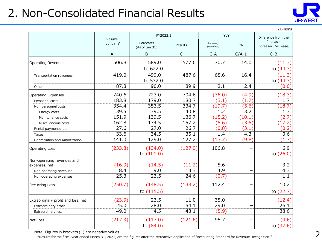# 2. Non-Consolidated Financial Results



¥Billions

|                                    |                             | FY2022.3                    |                   | YoY                     |                  | Difference from the              |
|------------------------------------|-----------------------------|-----------------------------|-------------------|-------------------------|------------------|----------------------------------|
|                                    | <b>Results</b><br>FY2021.3* | Forecasts<br>(As of Jan 31) | Results           | Increase/<br>(Decrease) | $\%$             | forecasts<br>Increase/(Decrease) |
|                                    | A                           | $\mathsf B$                 | $\mathsf C$       | $C - A$                 | $C/A-1$          | $C - B$                          |
| <b>Operating Revenues</b>          | 506.8                       | 589.0                       | 577.6             | 70.7                    | 14.0             | (11.3)                           |
|                                    |                             | to 622.0                    |                   |                         |                  | to $(44.3)$                      |
| Transportation revenues            | 419.0                       | 499.0                       | 487.6             | 68.6                    | 16.4             | (11.3)                           |
|                                    |                             | to 532.0                    |                   |                         |                  | to $(44.3)$                      |
| Other                              | 87.8                        | 90.0                        | 89.9              | 2.1                     | 2.4              | (0.0)                            |
| <b>Operating Expenses</b>          | 740.6                       | 723.0                       | 704.6             | (36.0)                  | (4.9)            | (18.3)                           |
| Personnel costs                    | 183.8                       | 179.0                       | 180.7             | (3.1)                   | 1.7              | 1.7                              |
| Non personnel costs                | 354.4                       | 353.5                       | 334.7             | (19.7)                  | (5.6)            | (18.7)                           |
| Energy costs                       | 39.5                        | 39.5                        | 40.8              | 1.2                     | $\overline{3.2}$ | 1.3                              |
| Maintenance costs                  | 151.9                       | 139.5                       | 136.7             | (15.2)                  | (10.1)           | (2.7)                            |
| Miscellaneous costs                | 162.8                       | 174.5                       | 157.2             | (5.6)                   | (3.5)            | (17.2)                           |
| Rental payments, etc.              | 27.6                        | 27.0                        | 26.7              | (0.8)                   | (3.1)            | (0.2)                            |
| Taxes                              | 33.6                        | 34.5                        | 35.1              | 1.4                     | $\overline{4.3}$ | 0.6                              |
| Depreciation and Amortization      | 141.0                       | 129.0                       | 127.2             | (13.7)                  | (9.8)            | (1.7)                            |
| <b>Operating Loss</b>              | (233.8)                     | (134.0)<br>to $(101.0)$     | (127.0)           | 106.8                   |                  | 6.9<br>to $(26.0)$               |
| Non-operating revenues and         |                             |                             |                   |                         |                  |                                  |
| expenses, net                      | (16.9)                      | (14.5)                      | (11.2)            | 5.6                     |                  | 3.2                              |
| Non-operating revenues             | 8.4                         | 9.0                         | $\overline{13.3}$ | 4.9                     |                  | 4.3                              |
| Non-operating expenses             | 25.3                        | 23.5                        | 24.6              | (0.7)                   |                  | 1.1                              |
| Recurring Loss                     | (250.7)                     | (148.5)                     | (138.2)           | 112.4                   |                  | 10.2                             |
|                                    |                             | to (115.5)                  |                   |                         |                  | to (22.7)                        |
| Extraordinary profit and loss, net | (23.9)                      | 23.5                        | 11.0              | 35.0                    |                  | (12.4)                           |
| Extraordinary profit               | 25.0                        | 28.0                        | 54.1              | 29.0                    |                  | 26.1                             |
| Extraordinary loss                 | 49.0                        | 4.5                         | 43.1              | (5.9)                   |                  | 38.6                             |
| Net Loss                           | (217.3)                     | (117.0)                     | (121.6)           | 95.7                    |                  | (4.6)                            |
|                                    |                             | to (84.0)                   |                   |                         |                  | to $(37.6)$                      |

Note: Figures in brackets ( ) are negative values.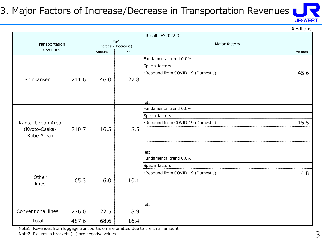#### 3. Major Factors of Increase/Decrease in Transportation Revenues



¥Billions

|                    |       |        |                            | Results FY2022.3                  |        |
|--------------------|-------|--------|----------------------------|-----------------------------------|--------|
| Transportation     |       |        | YoY<br>Increase/(Decrease) | Major factors                     |        |
| revenues           |       | Amount | $\frac{0}{0}$              |                                   | Amount |
|                    |       |        |                            | Fundamental trend 0.0%            |        |
|                    |       |        |                            | Special factors                   |        |
|                    |       |        |                            | ·Rebound from COVID-19 (Domestic) | 45.6   |
| Shinkansen         | 211.6 | 46.0   | 27.8                       |                                   |        |
|                    |       |        |                            |                                   |        |
|                    |       |        |                            |                                   |        |
|                    |       |        |                            | etc.                              |        |
|                    |       |        |                            | Fundamental trend 0.0%            |        |
|                    |       | 16.5   | 8.5                        | Special factors                   |        |
| Kansai Urban Area  |       |        |                            | ·Rebound from COVID-19 (Domestic) | 15.5   |
| (Kyoto-Osaka-      | 210.7 |        |                            |                                   |        |
| Kobe Area)         |       |        |                            |                                   |        |
|                    |       |        |                            |                                   |        |
|                    |       |        |                            | etc.                              |        |
|                    |       |        |                            | Fundamental trend 0.0%            |        |
|                    |       |        |                            | Special factors                   |        |
| Other              |       |        |                            | ·Rebound from COVID-19 (Domestic) | 4.8    |
| lines              | 65.3  | 6.0    | 10.1                       |                                   |        |
|                    |       |        |                            |                                   |        |
|                    |       |        |                            |                                   |        |
|                    |       |        |                            | etc.                              |        |
| Conventional lines | 276.0 | 22.5   | 8.9                        |                                   |        |
| Total              | 487.6 | 68.6   | 16.4                       |                                   |        |

Note1: Revenues from luggage transportation are omitted due to the small amount. Note2: Figures in brackets () are negative values.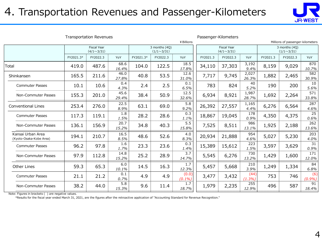#### 4. Transportation Revenues and Passenger-Kilometers



| <b>Transportation Revenues</b>               |           |                                         |               |            | Passenger-Kilometers               |                    |          |                                         |                   |          |                                    |               |
|----------------------------------------------|-----------|-----------------------------------------|---------------|------------|------------------------------------|--------------------|----------|-----------------------------------------|-------------------|----------|------------------------------------|---------------|
|                                              |           |                                         |               | ¥ Billions |                                    |                    |          |                                         |                   |          | Millions of passenger-kilometers   |               |
|                                              |           | <b>Fiscal Year</b><br>$(4/1 \sim 3/31)$ |               |            | 3 months (4Q)<br>$(1/1 \sim 3/31)$ |                    |          | <b>Fiscal Year</b><br>$(4/1 \sim 3/31)$ |                   |          | 3 months (4Q)<br>$(1/1 \sim 3/31)$ |               |
|                                              | FY2021.3* | FY2022.3                                | YoY           | FY2021.3*  | FY2022.3                           | YoY                | FY2021.3 | FY2022.3                                | YoY               | FY2021.3 | FY2022.3                           | YoY           |
| Total                                        | 419.0     | 487.6                                   | 68.6<br>16.4% | 104.0      | 122.5                              | 18.5<br>17.8%      | 34,110   | 37,303                                  | 3,192<br>9.4%     | 8,159    | 9,029                              | 870<br>10.7%  |
| Shinkansen                                   | 165.5     | 211.6                                   | 46.0<br>27.8% | 40.8       | 53.5                               | 12.6<br>31.0%      | 7,717    | 9,745                                   | 2,027<br>26.3%    | 1,882    | 2,465                              | 582<br>30.9%  |
| <b>Commuter Passes</b>                       | 10.1      | 10.6                                    | 0.4<br>4.3%   | 2.4        | 2.5                                | 0.1<br>6.5%        | 783      | 824                                     | 40<br>5.2%        | 190      | 200                                | 10<br>5.6%    |
| Non-Commuter Passes                          | 155.3     | 201.0                                   | 45.6<br>29.4% | 38.4       | 50.9                               | 12.5<br>32.6%      | 6,934    | 8,921                                   | 1,987<br>28.7%    | 1,692    | 2,264                              | 571<br>33.8%  |
| <b>Conventional Lines</b>                    | 253.4     | 276.0                                   | 22.5<br>8.9%  | 63.1       | 69.0                               | 5.8<br>9.2%        | 26,392   | 27,557                                  | 1,165<br>4.4%     | 6,276    | 6,564                              | 287<br>4.6%   |
| <b>Commuter Passes</b>                       | 117.3     | 119.1                                   | 1.8<br>1.5%   | 28.2       | 28.6                               | 0.3<br>1.1%        | 18,867   | 19,045                                  | 178<br>0.9%       | 4,350    | 4,375                              | 25<br>0.6%    |
| Non-Commuter Passes                          | 136.1     | 156.9                                   | 20.7<br>15.2% | 34.8       | 40.3                               | 5.5<br>15.8%       | 7,525    | 8,511                                   | 986<br>13.1%      | 1,925    | 2,188                              | 262<br>13.6%  |
| Kansai Urban Area<br>(Kyoto-Osaka-Kobe Area) | 194.1     | 210.7                                   | 16.5<br>8.5%  | 48.6       | 52.6                               | 4.0<br>8.3%        | 20,934   | 21,888                                  | 954<br>4.6%       | 5,027    | 5,230                              | 203<br>4.0%   |
| <b>Commuter Passes</b>                       | 96.2      | 97.8                                    | 1.6<br>1.7%   | 23.3       | 23.6                               | 0.3<br>1.4%        | 15,389   | 15,612                                  | 223<br>1.5%       | 3,597    | 3,629                              | 31<br>0.9%    |
| Non-Commuter Passes                          | 97.9      | 112.8                                   | 14.8<br>15.2% | 25.2       | 28.9                               | 3.7<br>14.7%       | 5,545    | 6,276                                   | 730<br>13.2%      | 1,429    | 1,600                              | 171<br>12.0%  |
| <b>Other Lines</b>                           | 59.3      | 65.3                                    | 6.0<br>10.1%  | 14.5       | 16.3                               | 1.7<br>12.3%       | 5,457    | 5,668                                   | 210<br>3.9%       | 1,249    | 1,334                              | 84<br>6.8%    |
| <b>Commuter Passes</b>                       | 21.1      | 21.2                                    | 0.1<br>0.7%   | 4.9        | 4.9                                | (0.0)<br>$(0.1\%)$ | 3,477    | 3,432                                   | (44)<br>$(1.3\%)$ | 753      | 746                                | (6)<br>(0.9%) |
| Non-Commuter Passes                          | 38.2      | 44.0                                    | 5.8<br>15.3%  | 9.6        | 11.4                               | 1.7<br>18.7%       | 1,979    | 2,235                                   | 255<br>12.9%      | 496      | 587                                | 91<br>18.4%   |

Note: Figures in brackets ( ) are negative values.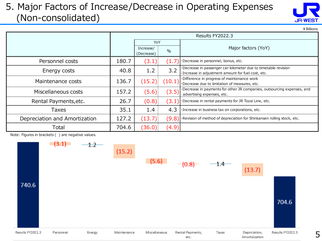#### 5. Major Factors of Increase/Decrease in Operating Expenses (Non-consolidated)

| JR-WEST |  |
|---------|--|

¥Billions

|                               | Results FY2022.3 |                                          |        |                                                                                                                       |  |
|-------------------------------|------------------|------------------------------------------|--------|-----------------------------------------------------------------------------------------------------------------------|--|
|                               |                  | YoY                                      |        |                                                                                                                       |  |
|                               |                  | Increase/<br>$\frac{0}{0}$<br>(Decrease) |        | Major factors (YoY)                                                                                                   |  |
| Personnel costs               | 180.7            | (3.1                                     | 1.7    | ·Decrease in personnel, bonus, etc.                                                                                   |  |
| Energy costs                  | 40.8             | 1.2                                      | 3.2    | ·Decrease in passenger car-kilometer due to timetable revision<br>· Increase in adjustment amount for fuel cost, etc. |  |
| Maintenance costs             | 136.7            | (15.2)                                   | (10.1) | Difference in progress of maintenance work<br>Decrease due to limitation of measures, etc.                            |  |
| Miscellaneous costs           | 157.2            | (5.6)                                    | (3.5)  | ·Decrease in payments for other JR companies, outsourcing expenses, and<br>advertising expenses, etc.                 |  |
| Rental Payments, etc.         | 26.7             | (0.8)                                    | 3.1    | Decrease in rental payments for JR Tozai Line, etc.                                                                   |  |
| <b>Taxes</b>                  | 35.1             | 1.4                                      | 4.3    | · Increase in business tax on corporations, etc.                                                                      |  |
| Depreciation and Amortization | 127.2            | (13.7)                                   |        | $(9.8)$ Revision of method of depreciation for Shinkansen rolling stock, etc.                                         |  |
| Total                         | 704.6            | (36.0)                                   | (4.9)  |                                                                                                                       |  |

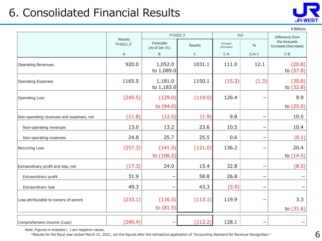# 6. Consolidated Financial Results



¥Billions

|                                          | Results   | FY2022.3                    |             | YoY                     |               | Difference from                      |
|------------------------------------------|-----------|-----------------------------|-------------|-------------------------|---------------|--------------------------------------|
|                                          | FY2021.3* | Forecasts<br>(As of Jan 31) | Results     | Increase/<br>(Decrease) | $\frac{0}{0}$ | the forecasts<br>Increase/(Decrease) |
|                                          | A         | $\sf B$                     | $\mathsf C$ | $C-A$                   | $C/A-1$       | $C - B$                              |
| <b>Operating Revenues</b>                | 920.0     | 1,052.0<br>to 1,089.0       | 1031.1      | 111.0                   | 12.1          | (20.8)<br>to (57.8)                  |
| <b>Operating Expenses</b>                | 1165.5    | 1,181.0<br>to 1,183.0       | 1150.1      | (15.3)                  | (1.3)         | (30.8)<br>to $(32.8)$                |
| <b>Operating Loss</b>                    | (245.5)   | (129.0)<br>to (94.0)        | (119.0)     | 126.4                   |               | 9.9<br>to $(25.0)$                   |
| Non-operating revenues and expenses, net | (11.8)    | (12.5)                      | (1.9)       | 9.8                     |               | 10.5                                 |
| Non-operating revenues                   | 13.0      | 13.2                        | 23.6        | 10.5                    |               | 10.4                                 |
| Non-operating expenses                   | 24.8      | 25.7                        | 25.5        | 0.6                     |               | (0.1)                                |
| <b>Recurring Loss</b>                    | (257.3)   | (141.5)<br>to $(106.5)$     | (121.0)     | 136.2                   |               | 20.4<br>to $(14.5)$                  |
| Extraordinary profit and loss, net       | (17.3)    | 24.0                        | 15.4        | 32.8                    |               | (8.5)                                |
| Extraordinary profit                     | 31.9      |                             | 58.8        | 26.8                    |               |                                      |
| Extraordinary loss                       | 49.3      |                             | 43.3        | (5.9)                   |               |                                      |
| Loss attributable to owners of parent    | (233.1)   | (116.5)<br>to $(81.5)$      | (113.1)     | 119.9                   |               | 3.3<br>to $(31.6)$                   |
| Comprehensive Income (Loss)              | (240.4)   |                             | (112.2)     | 128.1                   |               |                                      |

Note: Figures in brackets ( ) are negative values.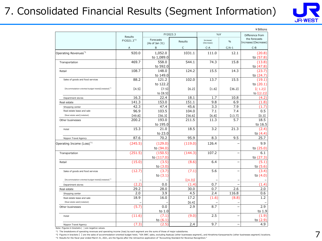# 7. Consolidated Financial Results (Segment Information)



|                                                                 |                                   | FY2023.3                      |               | YoY        |                          | ¥ Billions<br>Difference from |
|-----------------------------------------------------------------|-----------------------------------|-------------------------------|---------------|------------|--------------------------|-------------------------------|
|                                                                 | Results<br>FY2021.3 <sup>*3</sup> | Forecasts                     |               | Increase/  |                          | the forecasts                 |
|                                                                 |                                   | (As of Jan 31)                | Results       | (Decrease) | $\%$                     | Increase/(Decrease)           |
|                                                                 | Α                                 | B                             | $\mathsf{C}$  | $C-A$      | $C/A-1$                  | $C-B$                         |
| Operating Revenues <sup>*1</sup>                                | 920.0                             | 1,052.0<br>to 1,089.0         | 1031.1        | 111.0      | 12.1                     | (20.8)<br>to (57.8)           |
| Transportation                                                  | 469.7                             | 558.0<br>to 592.0             | 544.1         | 74.3       | 15.8                     | (13.8)<br>to (47.8)           |
| Retail                                                          | 108.7                             | 148.0<br>to 149.0             | 124.2         | 15.5       | 14.3                     | (23.7)<br>to (24.7)           |
| Sales of goods and food services                                | 88.2                              | 121.2<br>to 122.2             | 102.0         | 13.7       | 15.5                     | (19.1)<br>to $(20.1)$         |
| [Accommodation-oriented budget hotels] (restated) <sup>*2</sup> | [4.5]                             | (7.5)<br>to [8.5]             | [6.2]         | [1.6]      | [36.2]                   | [(1.2)]<br>to $(2.2)$         |
| Department stores                                               | 16.3                              | 22.4                          | 18.1          | 1.7        | 10.8                     | (4.2)                         |
| Real estate                                                     | 141.3                             | 153.0                         | 151.1         | 9.8        | 6.9                      | (1.8)                         |
| Shopping center                                                 | 42.3                              | 47.4                          | 45.6          | 3.3        | 7.9                      | (1.7)                         |
| Real estate lease and sale                                      | 96.9                              | 103.5                         | 104.0         | 7.1        | 7.4                      | 0.5                           |
| [Real estate sale] (restated)                                   | [49.8]                            | [56.3]                        | [56.6]        | [6.8]      | [13.7]                   | [0.3]                         |
| Other businesses                                                | 200.2                             | 193.0<br>to 195.0             | 211.5         | 11.3       | 5.7                      | 18.5<br>to 16.5               |
| Hotel                                                           | 15.3                              | 21.0<br>to 23.0               | 18.5          | 3.2        | 21.3                     | (2.4)<br>to $(4.4)$           |
| Nippon Travel Agency                                            | 87.6                              | 70.2                          | 95.9          | 8.3        | 9.5                      | 25.7                          |
| Operating Income (Loss) <sup>*1</sup>                           | (245.5)                           | (129.0)<br>to (94.0)          | (119.0)       | 126.4      |                          | 9.9<br>to (25.0)              |
| Transportation                                                  | (251.5)                           | (150.5)<br>to (117.0)         | (144.3)       | 107.2      | L,                       | 6.1<br>to (27.3)              |
| Retail                                                          | (15.0)                            | (3.5)<br>to $(3.0)$           | (8.6)         | 6.4        |                          | (5.1)<br>to (5.6)             |
| Sales of goods and food services                                | (12.7)                            | (3.7)<br>to $(3.1)$           | (7.1)         | 5.6        |                          | (3.4)<br>to $(4.0)$           |
| [Accommodation-oriented budget hotels] (restated) <sup>+2</sup> |                                   |                               | [(4.3)]       |            |                          |                               |
| Department stores                                               | (2.2)                             | 0.0                           | (1.4)         | 0.7        |                          | (1.4)                         |
| Real estate                                                     | 29.2                              | 28.0                          | 30.0          | 0.7        | 2.6                      | 2.0                           |
| Shopping center                                                 | 2.0                               | 3.9                           | 4.5           | 2.4        | 116.8                    | 0.6                           |
| Real estate lease and sale<br>[Real estate sale] (restated)     | 18.9                              | 16.0                          | 17.2<br>[6.4] | (1.6)      | (8.8)                    | 1.2                           |
| Other businesses                                                | (5.7)                             | 0.0                           | 2.9           | 8.7        | $\overline{\phantom{0}}$ | 2.9                           |
| Hotel                                                           | (11.6)                            | to 1.0<br>(7.1)<br>to $(6.1)$ | (9.0)         | 2.5        |                          | to 1.9<br>(1.9)<br>to (2.9)   |
| Nippon Travel Agency                                            | (7.3)                             | (2.5)                         | 2.4           | 9.7        | $\overline{\phantom{0}}$ | 4.9                           |

Note: Figures in brackets ( ) are negative values.

\*1 The breakdowns of operating revenues and operating income (loss) by each segment are the sums of those of major subsidiaries.

\*2 Figures in brackets 【 】 are the sales of accommodation-oriented budget hotel, "VIA INN", sales, excluding Asakusa (other businesses segment), and Hiroshima Kanayamacho (other businesses segment) locations.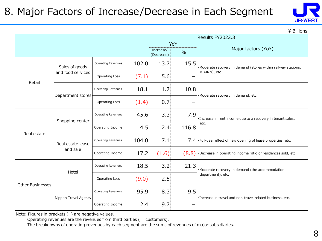## 8. Major Factors of Increase/Decrease in Each Segment



\ Billions

|                         |                      |                           |       |                         |               | Results FY2022.3                                                        |  |  |
|-------------------------|----------------------|---------------------------|-------|-------------------------|---------------|-------------------------------------------------------------------------|--|--|
|                         |                      |                           |       |                         | YoY           |                                                                         |  |  |
|                         |                      |                           |       | Increase/<br>(Decrease) | $\frac{0}{0}$ | Major factors (YoY)                                                     |  |  |
|                         | Sales of goods       | <b>Operating Revenues</b> | 102.0 | 13.7                    | 15.5          | ·Moderate recovery in demand (stores within railway stations,           |  |  |
| Retail                  | and food services    | <b>Operating Loss</b>     | (7.1) | 5.6                     |               | VIAINN), etc.                                                           |  |  |
|                         | Department stores    | <b>Operating Revenues</b> | 18.1  | 1.7                     | 10.8          | ·Moderate recovery in demand, etc.                                      |  |  |
|                         |                      | <b>Operating Loss</b>     | (1.4) | 0.7                     |               |                                                                         |  |  |
|                         | Shopping center      | <b>Operating Revenues</b> | 45.6  | 3.3                     | 7.9           | · Increase in rent income due to a recovery in tenant sales,            |  |  |
| Real estate             |                      | Operating Income          | 4.5   | 2.4                     | 116.8         | etc.                                                                    |  |  |
|                         | Real estate lease    | <b>Operating Revenues</b> | 104.0 | 7.1                     |               | $7.4$ $\cdot$ Full-year effect of new opening of lease properties, etc. |  |  |
|                         | and sale             | Operating Income          | 17.2  | (1.6)                   | (8.8)         | Decrease in operating income ratio of residences sold, etc.             |  |  |
|                         | Hotel                | <b>Operating Revenues</b> | 18.5  | 3.2                     | 21.3          | ·Moderate recovery in demand (the accommodation                         |  |  |
| <b>Other Businesses</b> |                      | <b>Operating Loss</b>     | (9.0) | 2.5                     |               | department), etc.                                                       |  |  |
|                         | Nippon Travel Agency | <b>Operating Revenues</b> | 95.9  | 8.3                     | 9.5           | ·Increase in travel and non-travel related business, etc.               |  |  |
|                         |                      | Operating Income          | 2.4   | 9.7                     |               |                                                                         |  |  |

Note: Figures in brackets ( ) are negative values.

Operating revenues are the revenues from third parties  $($  = customers $)$ .

The breakdowns of operating revenues by each segment are the sums of revenues of major subsidiaries.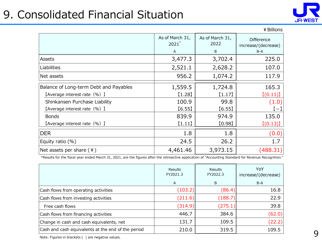# 9. Consolidated Financial Situation



|                                        |                                                       |          | ¥ Billions                               |
|----------------------------------------|-------------------------------------------------------|----------|------------------------------------------|
|                                        | As of March 31,<br>As of March 31,<br>$2021*$<br>2022 |          | <b>Difference</b><br>increase/(decrease) |
|                                        | A                                                     | B        | $B-A$                                    |
| Assets                                 | 3,477.3                                               | 3,702.4  | 225.0                                    |
| Liabilities                            | 2,521.1                                               | 2,628.2  | 107.0                                    |
| Net assets                             | 956.2                                                 | 1,074.2  | 117.9                                    |
| Balance of Long-term Debt and Payables | 1,559.5                                               | 1,724.8  | 165.3                                    |
| [Average interest rate (%) ]           | $[1.28]$                                              | (1.17)   | [(0.11)]                                 |
| Shinkansen Purchase Liability          | 100.9                                                 | 99.8     | (1.0)                                    |
| [Average interest rate (%) ]           | [6.55]                                                | [6.55]   | $\left( -\right)$                        |
| <b>Bonds</b>                           | 839.9                                                 | 974.9    | 135.0                                    |
| [Average interest rate (%) ]           | (1.11)                                                | [0.98]   | [(0.13)]                                 |
| <b>DER</b>                             | 1.8                                                   | 1.8      | (0.0)                                    |
| Equity ratio $(\%)$                    | 24.5                                                  | 26.2     | 1.7                                      |
| Net assets per share $(4)$             | 4,461.46                                              | 3,973.15 | (488.31)                                 |

\*Results for the fiscal year ended March 31, 2021, are the figures after the retroactive application of "Accounting Standard for Revenue Recognition."

|                                                    | <b>Results</b><br>FY2021.3 | <b>Results</b><br>FY2022.3 | YoY<br>increase/(decrease) |
|----------------------------------------------------|----------------------------|----------------------------|----------------------------|
|                                                    | A                          | B                          | $B-A$                      |
| Cash flows from operating activities               | (103.2)                    | (86.4)                     | 16.8                       |
| Cash flows from investing activities               | (211.6)                    | (188.7)                    | 22.9                       |
| Free cash flows                                    | (314.9)                    | (275.1)                    | 39.8                       |
| Cash flows from financing activities               | 446.7                      | 384.6                      | (62.0)                     |
| Change in cash and cash equivalents, net           | 131.7                      | 109.5                      | (22.2)                     |
| Cash and cash equivalents at the end of the period | 210.0                      | 319.5                      | 109.5                      |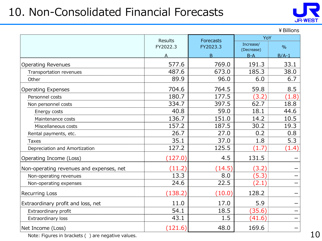# 10. Non-Consolidated Financial Forecasts



¥Billions

|                                          | Results  | Forecasts | YoY                     |               |
|------------------------------------------|----------|-----------|-------------------------|---------------|
|                                          | FY2022.3 | FY2023.3  | Increase/<br>(Decrease) | $\frac{0}{0}$ |
|                                          | А        | B         | $B-A$                   | $B/A-1$       |
| <b>Operating Revenues</b>                | 577.6    | 769.0     | 191.3                   | 33.1          |
| Transportation revenues                  | 487.6    | 673.0     | 185.3                   | 38.0          |
| Other                                    | 89.9     | 96.0      | 6.0                     | 6.7           |
| <b>Operating Expenses</b>                | 704.6    | 764.5     | 59.8                    | 8.5           |
| Personnel costs                          | 180.7    | 177.5     | (3.2)                   | (1.8)         |
| Non personnel costs                      | 334.7    | 397.5     | 62.7                    | 18.8          |
| Energy costs                             | 40.8     | 59.0      | 18.1                    | 44.6          |
| Maintenance costs                        | 136.7    | 151.0     | 14.2                    | 10.5          |
| Miscellaneous costs                      | 157.2    | 187.5     | 30.2                    | 19.3          |
| Rental payments, etc.                    | 26.7     | 27.0      | 0.2                     | 0.8           |
| Taxes                                    | 35.1     | 37.0      | 1.8                     | 5.3           |
| Depreciation and Amortization            | 127.2    | 125.5     | (1.7)                   | (1.4)         |
| Operating Income (Loss)                  | (127.0)  | 4.5       | 131.5                   |               |
| Non-operating revenues and expenses, net | (11.2)   | (14.5)    | (3.2)                   |               |
| Non-operating revenues                   | 13.3     | 8.0       | (5.3)                   |               |
| Non-operating expenses                   | 24.6     | 22.5      | (2.1)                   |               |
| <b>Recurring Loss</b>                    | (138.2)  | (10.0)    | 128.2                   |               |
| Extraordinary profit and loss, net       | 11.0     | 17.0      | 5.9                     |               |
| Extraordinary profit                     | 54.1     | 18.5      | (35.6)                  |               |
| Extraordinary loss                       | 43.1     | 1.5       | (41.6)                  |               |
| Net Income (Loss)                        | (121.6)  | 48.0      | 169.6                   |               |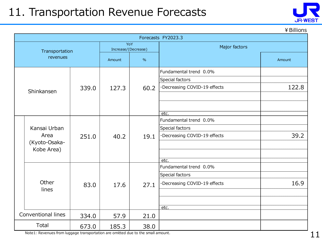# 11. Transportation Revenue Forecasts



¥Billions

|                | Forecasts FY2023.3                                  |       |                            |      |                              |        |  |  |  |
|----------------|-----------------------------------------------------|-------|----------------------------|------|------------------------------|--------|--|--|--|
| Transportation |                                                     |       | YoY<br>Increase/(Decrease) |      | Major factors                |        |  |  |  |
|                | revenues                                            |       | Amount                     | $\%$ |                              | Amount |  |  |  |
|                |                                                     |       |                            |      | Fundamental trend 0.0%       |        |  |  |  |
|                |                                                     |       |                            |      | Special factors              |        |  |  |  |
|                | Shinkansen                                          | 339.0 | 127.3                      | 60.2 | ·Decreasing COVID-19 effects | 122.8  |  |  |  |
|                |                                                     |       |                            |      |                              |        |  |  |  |
|                |                                                     |       |                            |      |                              |        |  |  |  |
|                |                                                     |       |                            |      | etc.                         |        |  |  |  |
|                | Kansai Urban<br>Area<br>(Kyoto-Osaka-<br>Kobe Area) |       | 40.2                       | 19.1 | Fundamental trend 0.0%       |        |  |  |  |
|                |                                                     | 251.0 |                            |      | Special factors              |        |  |  |  |
|                |                                                     |       |                            |      | ·Decreasing COVID-19 effects | 39.2   |  |  |  |
|                |                                                     |       |                            |      |                              |        |  |  |  |
|                |                                                     |       |                            |      |                              |        |  |  |  |
|                |                                                     |       |                            |      | etc.                         |        |  |  |  |
|                |                                                     |       |                            | 27.1 | Fundamental trend 0.0%       |        |  |  |  |
|                |                                                     |       |                            |      | Special factors              |        |  |  |  |
|                | Other                                               | 83.0  | 17.6                       |      | ·Decreasing COVID-19 effects | 16.9   |  |  |  |
|                | lines                                               |       |                            |      |                              |        |  |  |  |
|                |                                                     |       |                            |      |                              |        |  |  |  |
|                |                                                     |       |                            |      | etc.                         |        |  |  |  |
|                | Conventional lines                                  | 334.0 | 57.9                       | 21.0 |                              |        |  |  |  |
| Total          |                                                     | 673.0 | 185.3                      | 38.0 |                              |        |  |  |  |

Note1: Revenues from luggage transportation are omitted due to the small amount.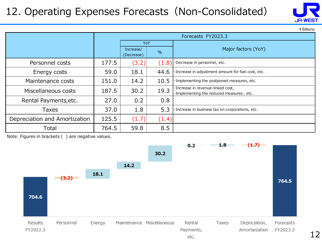# 12. Operating Expenses Forecasts (Non-Consolidated)

|                               |       | Forecasts FY2023.3      |               |                                                                                |  |  |
|-------------------------------|-------|-------------------------|---------------|--------------------------------------------------------------------------------|--|--|
|                               |       | <b>YoY</b>              |               |                                                                                |  |  |
|                               |       | Increase/<br>(Decrease) | $\frac{9}{6}$ | Major factors (YoY)                                                            |  |  |
| Personnel costs               | 177.5 | (3.2)                   | (1.8)         | ·Decrease in personnel, etc.                                                   |  |  |
| Energy costs                  | 59.0  | 18.1                    | 44.6          | · Increase in adjustment amount for fuel cost, etc.                            |  |  |
| Maintenance costs             | 151.0 | 14.2                    | 10.5          | ·Implementing the postponed measures, etc.                                     |  |  |
| Miscellaneous costs           | 187.5 | 30.2                    | 19.3          | ·Increase in revenue-linked cost,<br>· Implementing the reduced measures, etc. |  |  |
| Rental Payments, etc.         | 27.0  | 0.2                     | 0.8           |                                                                                |  |  |
| Taxes                         | 37.0  | 1.8                     | 5.3           | · Increase in business tax on corporations, etc.                               |  |  |
| Depreciation and Amortization | 125.5 | (1.7)                   | (1.4)         |                                                                                |  |  |
| Total                         | 764.5 | 59.8                    | 8.5           |                                                                                |  |  |

Note: Figures in brackets ( ) are negative values.





¥Billions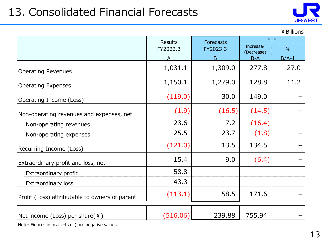# 13. Consolidated Financial Forecasts



¥Billions

|                                                | <b>Results</b> | <b>Forecasts</b> | YoY                     |               |  |
|------------------------------------------------|----------------|------------------|-------------------------|---------------|--|
|                                                | FY2022.3       | FY2023.3         | Increase/<br>(Decrease) | $\frac{0}{0}$ |  |
|                                                |                | B                | $B-A$                   | $B/A-1$       |  |
| <b>Operating Revenues</b>                      | 1,031.1        | 1,309.0          | 277.8                   | 27.0          |  |
| <b>Operating Expenses</b>                      | 1,150.1        | 1,279.0          | 128.8                   | 11.2          |  |
| Operating Income (Loss)                        | (119.0)        | 30.0             | 149.0                   |               |  |
| Non-operating revenues and expenses, net       | (1.9)          | (16.5)           | (14.5)                  |               |  |
| Non-operating revenues                         | 23.6           | 7.2              | (16.4)                  |               |  |
| Non-operating expenses                         | 25.5           | 23.7             | (1.8)                   |               |  |
| Recurring Income (Loss)                        | (121.0)        | 13.5             | 134.5                   |               |  |
| Extraordinary profit and loss, net             | 15.4           | 9.0              | (6.4)                   |               |  |
| Extraordinary profit                           | 58.8           |                  |                         |               |  |
| Extraordinary loss                             | 43.3           |                  |                         |               |  |
| Profit (Loss) attributable to owners of parent | (113.1)        | 58.5             | 171.6                   |               |  |
| Net income (Loss) per share( $\angle$ )        | (516.06)       | 239.88           | 755.94                  |               |  |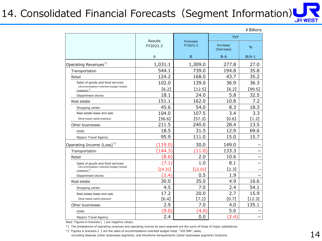# 14. Consolidated Financial Forecasts (Segment Information)

|                                                                            |                            |                       | YoY                     |         |  |
|----------------------------------------------------------------------------|----------------------------|-----------------------|-------------------------|---------|--|
|                                                                            | <b>Results</b><br>FY2022.3 | Forecasts<br>FY2023.3 | Increase/<br>(Decrease) | $\%$    |  |
|                                                                            | Α                          | B                     | $B-A$                   | $B/A-1$ |  |
| Operating Revenues <sup>*1</sup>                                           | 1,031.1                    | 1,309.0               | 277.8                   | 27.0    |  |
| Transportation                                                             | 544.1                      | 739.0                 | 194.8                   | 35.8    |  |
| Retail                                                                     | 124.2                      | 168.0                 | 43.7                    | 35.2    |  |
| Sales of goods and food services<br>[Accommodation-oriented budget hotels] | 102.0                      | 139.0                 | 36.9                    | 36.3    |  |
| $(restated)^{*2}$                                                          | [6.2]                      | [12.5]                | [6.2]                   | [99.5]  |  |
| Department stores                                                          | 18.1                       | 24.0                  | 5.8                     | 32.5    |  |
| Real estate                                                                | 151.1                      | 162.0                 | 10.8                    | 7.2     |  |
| Shopping center                                                            | 45.6                       | 54.0                  | 8.3                     | 18.3    |  |
| Real estate lease and sale                                                 | 104.0                      | 107.5                 | 3.4                     | 3.3     |  |
| [Real estate sale] (restated)                                              | [56.6]                     | [57.3]                | [0.6]                   | $[1.2]$ |  |
| Other businesses                                                           | 211.5                      | 240.0                 | 28.4                    | 13.5    |  |
| Hotel                                                                      | 18.5                       | 31.5                  | 12.9                    | 69.6    |  |
| Nippon Travel Agency                                                       | 95.9                       | 111.0                 | 15.0                    | 15.7    |  |
| Operating Income (Loss) <sup>*1</sup>                                      | (119.0)                    | 30.0                  | 149.0                   |         |  |
| Transportation                                                             | (144.3)                    | (11.0)                | 133.3                   |         |  |
| Retail                                                                     | (8.6)                      | 2.0                   | 10.6                    |         |  |
| Sales of goods and food services                                           | (7.1)                      | 1.0                   | 8.1                     |         |  |
| [Accommodation-oriented budget hotels]<br>$(rested)^*$ <sup>2</sup>        | [(4.3)]                    | [(2.0)]               | $[2.3]$                 |         |  |
| Department stores                                                          | (1.4)                      | 0.5                   | 1.9                     |         |  |
| Real estate                                                                | 30.0                       | 35.0                  | 4.9                     | 16.6    |  |
| Shopping center                                                            | 4.5                        | 7.0                   | 2.4                     | 54.1    |  |
| Real estate lease and sale                                                 | 17.2                       | 20.0                  | 2.7                     | 15.9    |  |
| [Real estate sale] (restated)                                              | [6.4]                      | $[7.2]$               | [0.7]                   | [12.3]  |  |
| Other businesses                                                           | 2.9                        | 7.0                   | 4.0                     | 135.1   |  |
| Hotel                                                                      | (9.0)                      | (4.0)                 | 5.0                     |         |  |
| Nippon Travel Agency                                                       | 2.4                        | 0.0                   | (2.4)                   |         |  |

¥Billions

Note: Figures in brackets ( ) are negative values.

\*1 The breakdowns of operating revenues and operating income by each segment are the sums of those of major subsidiaries.

\*2 Figures in brackets 【 】 are the sales of accommodation-oriented budget hotel, "VIA INN", sales,

excluding Asakusa (other businesses segment), and Hiroshima Kanayamacho (other businesses segment) locations.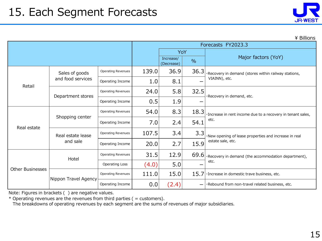| JR-WEST |  |
|---------|--|

|  | ¥ Billions |
|--|------------|
|  |            |

|                         |                               |                           | Forecasts FY2023.3 |                         |               |                                                                            |  |
|-------------------------|-------------------------------|---------------------------|--------------------|-------------------------|---------------|----------------------------------------------------------------------------|--|
|                         |                               | YoY                       |                    |                         |               |                                                                            |  |
|                         |                               |                           |                    | Increase/<br>(Decrease) | $\frac{0}{0}$ | Major factors (YoY)                                                        |  |
|                         | Sales of goods                | <b>Operating Revenues</b> | 139.0              | 36.9                    | 36.3          | Recovery in demand (stores within railway stations,                        |  |
| Retail                  | and food services             | Operating Income          | 1.0                | 8.1                     |               | VIAINN), etc.                                                              |  |
|                         | Department stores             | <b>Operating Revenues</b> | 24.0               | 5.8                     | 32.5          | ·Recovery in demand, etc.                                                  |  |
|                         |                               | Operating Income          | 0.5                | 1.9                     |               |                                                                            |  |
|                         | Shopping center               | <b>Operating Revenues</b> | 54.0               | 8.3                     | 18.3          | ·Increase in rent income due to a recovery in tenant sales,                |  |
| Real estate             |                               | Operating Income          | 7.0                | 2.4                     | 54.1          | etc.                                                                       |  |
|                         | Real estate lease<br>and sale | <b>Operating Revenues</b> | 107.5              | 3.4                     | 3.3           | ·New opening of lease properties and increase in real<br>estate sale, etc. |  |
|                         |                               | Operating Income          | 20.0               | 2.7                     | 15.9          |                                                                            |  |
|                         | Hotel                         | <b>Operating Revenues</b> | 31.5               | 12.9                    | 69.6          | Recovery in demand (the accommodation department),                         |  |
|                         |                               | <b>Operating Loss</b>     | (4.0)              | 5.0                     |               | etc.                                                                       |  |
| <b>Other Businesses</b> | Nippon Travel Agency          | <b>Operating Revenues</b> | 111.0              | 15.0                    | 15.7          | ·Increase in domestic trave business, etc.                                 |  |
|                         |                               | Operating Income          | 0.0                | (2.4)                   |               | ·Rebound from non-travel related business, etc.                            |  |

Note: Figures in brackets ( ) are negative values.

 $*$  Operating revenues are the revenues from third parties ( = customers).

The breakdowns of operating revenues by each segment are the sums of revenues of major subsidiaries.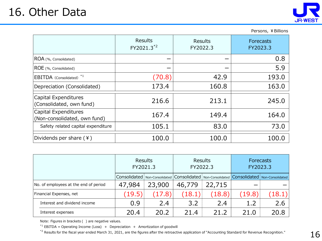

|                                                      |                                          |                            | Persons, ¥ Billions          |
|------------------------------------------------------|------------------------------------------|----------------------------|------------------------------|
|                                                      | <b>Results</b><br>FY2021.3 <sup>*2</sup> | <b>Results</b><br>FY2022.3 | <b>Forecasts</b><br>FY2023.3 |
| ROA (%, Consolidated)                                |                                          |                            | 0.8                          |
| ROE (%, Consolidated)                                |                                          |                            | 5.9                          |
| $EBITDA$ (Consolidated) $*1$                         | (70.8)                                   | 42.9                       | 193.0                        |
| Depreciation (Consolidated)                          | 173.4                                    | 160.8                      | 163.0                        |
| Capital Expenditures<br>(Consolidated, own fund)     | 216.6                                    | 213.1                      | 245.0                        |
| Capital Expenditures<br>(Non-consolidated, own fund) | 167.4                                    | 149.4                      | 164.0                        |
| Safety related capital expenditure                   | 105.1                                    | 83.0                       | 73.0                         |
| Dividends per share $(*)$                            | 100.0                                    | 100.0                      | 100.0                        |

|                                       | Results<br>FY2021.3 |                                                                                                      | <b>Results</b><br>FY2022.3 |        | Forecasts<br>FY2023.3 |        |
|---------------------------------------|---------------------|------------------------------------------------------------------------------------------------------|----------------------------|--------|-----------------------|--------|
|                                       |                     | Non-Consolidated   Consolidated   Non-Consolidated   Consolidated   Non-Consolidated<br>Consolidated |                            |        |                       |        |
| No. of employees at the end of period | 47,984              | 23,900                                                                                               | 46,779                     | 22,715 |                       |        |
| Financial Expenses, net               | (19.5)              | (17.8)                                                                                               | (18.1)                     | (18.8) | (19.8)                | (18.1) |
| Interest and dividend income          | 0.9                 | 2.4                                                                                                  | 3.2                        | 2.4    | 1.2                   | 2.6    |
| Interest expenses                     | 20.4                | 20.2                                                                                                 | 21.4                       | 21.2   | 21.0                  | 20.8   |

Note: Figures in brackets ( ) are negative values.

 $*1$  EBITDA = Operating Income (Loss) + Depreciation + Amortization of goodwill